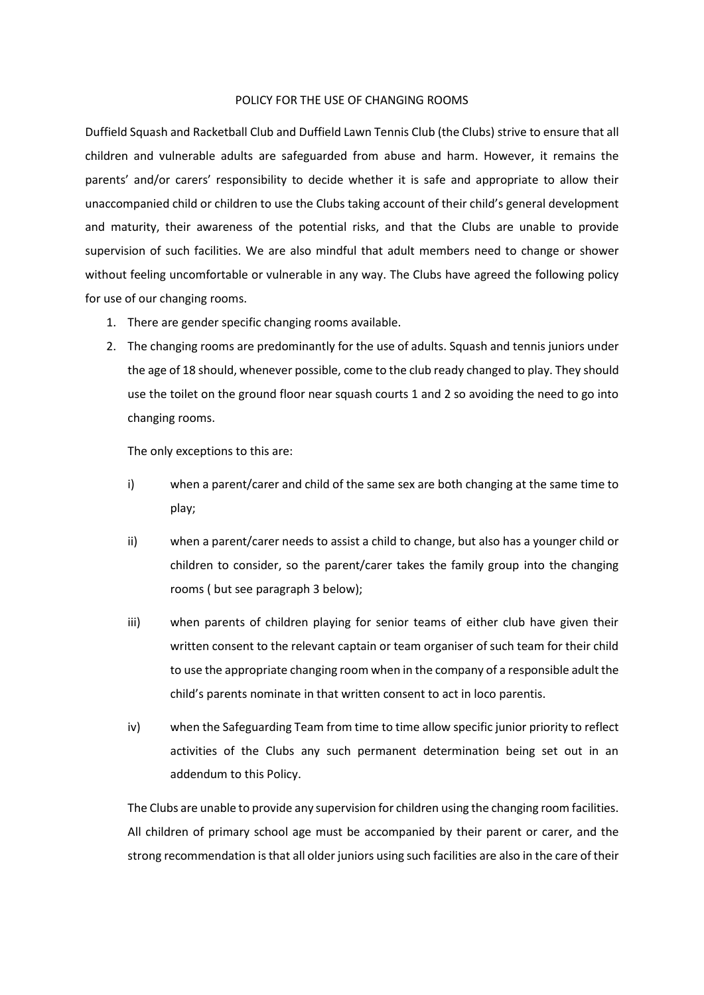## POLICY FOR THE USE OF CHANGING ROOMS

Duffield Squash and Racketball Club and Duffield Lawn Tennis Club (the Clubs) strive to ensure that all children and vulnerable adults are safeguarded from abuse and harm. However, it remains the parents' and/or carers' responsibility to decide whether it is safe and appropriate to allow their unaccompanied child or children to use the Clubs taking account of their child's general development and maturity, their awareness of the potential risks, and that the Clubs are unable to provide supervision of such facilities. We are also mindful that adult members need to change or shower without feeling uncomfortable or vulnerable in any way. The Clubs have agreed the following policy for use of our changing rooms.

- 1. There are gender specific changing rooms available.
- 2. The changing rooms are predominantly for the use of adults. Squash and tennis juniors under the age of 18 should, whenever possible, come to the club ready changed to play. They should use the toilet on the ground floor near squash courts 1 and 2 so avoiding the need to go into changing rooms.

The only exceptions to this are:

- i) when a parent/carer and child of the same sex are both changing at the same time to play;
- ii) when a parent/carer needs to assist a child to change, but also has a younger child or children to consider, so the parent/carer takes the family group into the changing rooms ( but see paragraph 3 below);
- iii) when parents of children playing for senior teams of either club have given their written consent to the relevant captain or team organiser of such team for their child to use the appropriate changing room when in the company of a responsible adult the child's parents nominate in that written consent to act in loco parentis.
- iv) when the Safeguarding Team from time to time allow specific junior priority to reflect activities of the Clubs any such permanent determination being set out in an addendum to this Policy.

The Clubs are unable to provide any supervision for children using the changing room facilities. All children of primary school age must be accompanied by their parent or carer, and the strong recommendation is that all older juniors using such facilities are also in the care of their